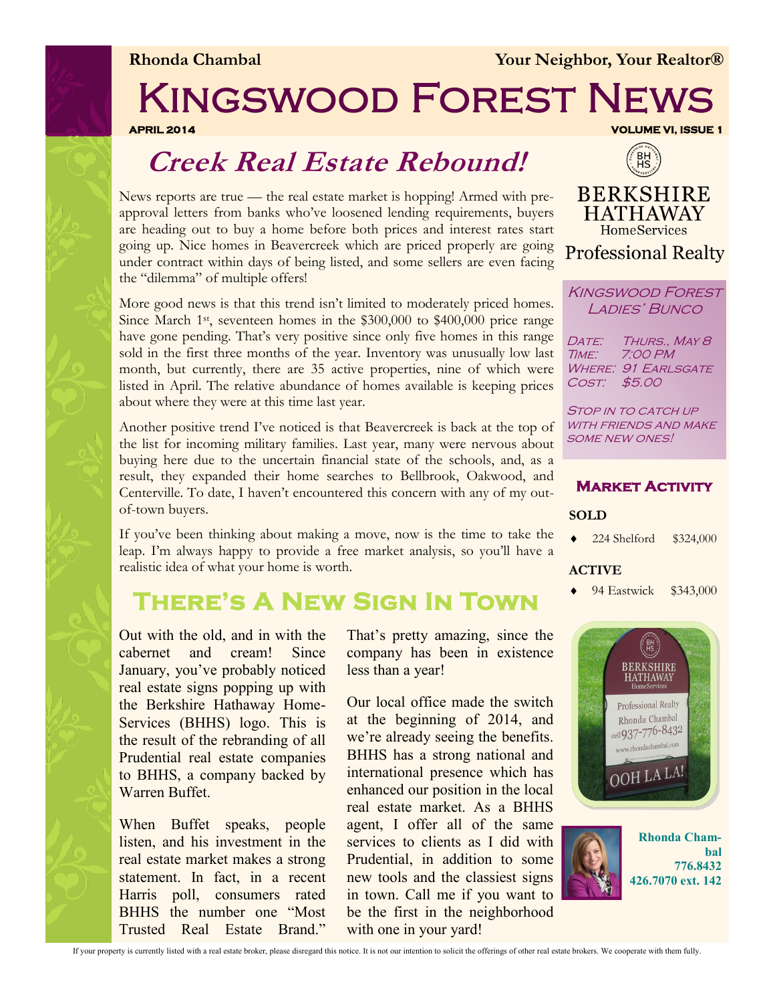

**Rhonda Chambal** *Your Neighbor, Your Realtor®* 

# Kingswood Forest News

**APRIL 2014 VOLUME VI, ISSUE 1** 

### **Creek Real Estate Rebound!**

News reports are true — the real estate market is hopping! Armed with preapproval letters from banks who've loosened lending requirements, buyers are heading out to buy a home before both prices and interest rates start going up. Nice homes in Beavercreek which are priced properly are going under contract within days of being listed, and some sellers are even facing the "dilemma" of multiple offers!

More good news is that this trend isn't limited to moderately priced homes. Since March 1st, seventeen homes in the \$300,000 to \$400,000 price range have gone pending. That's very positive since only five homes in this range sold in the first three months of the year. Inventory was unusually low last month, but currently, there are 35 active properties, nine of which were listed in April. The relative abundance of homes available is keeping prices about where they were at this time last year.

Another positive trend I've noticed is that Beavercreek is back at the top of the list for incoming military families. Last year, many were nervous about buying here due to the uncertain financial state of the schools, and, as a result, they expanded their home searches to Bellbrook, Oakwood, and Centerville. To date, I haven't encountered this concern with any of my outof-town buyers.

If you've been thinking about making a move, now is the time to take the leap. I'm always happy to provide a free market analysis, so you'll have a realistic idea of what your home is worth.

### **There's A New Sign In Town**

Out with the old, and in with the cabernet and cream! Since January, you've probably noticed real estate signs popping up with the Berkshire Hathaway Home-Services (BHHS) logo. This is the result of the rebranding of all Prudential real estate companies to BHHS, a company backed by Warren Buffet.

When Buffet speaks, people listen, and his investment in the real estate market makes a strong statement. In fact, in a recent Harris poll, consumers rated BHHS the number one "Most Trusted Real Estate Brand."

That's pretty amazing, since the company has been in existence less than a year!

Our local office made the switch at the beginning of 2014, and we're already seeing the benefits. BHHS has a strong national and international presence which has enhanced our position in the local real estate market. As a BHHS agent, I offer all of the same services to clients as I did with Prudential, in addition to some new tools and the classiest signs in town. Call me if you want to be the first in the neighborhood with one in your yard!



**BERKSHIRE HATHAWAY HomeServices Professional Realty** 

Kingswood Forest LADIES' BUNCO

DATE: THURS., MAY 8 Time: 7:00 PM WHERE: 91 EARLSGATE Cost: \$5.00

STOP IN TO CATCH UP WITH FRIENDS AND MAKE some new ones!

**Market Activity** 

224 Shelford \$324,000

**SOLD**





#### If your property is currently listed with a real estate broker, please disregard this notice. It is not our intention to solicit the offerings of other real estate brokers. We cooperate with them fully.